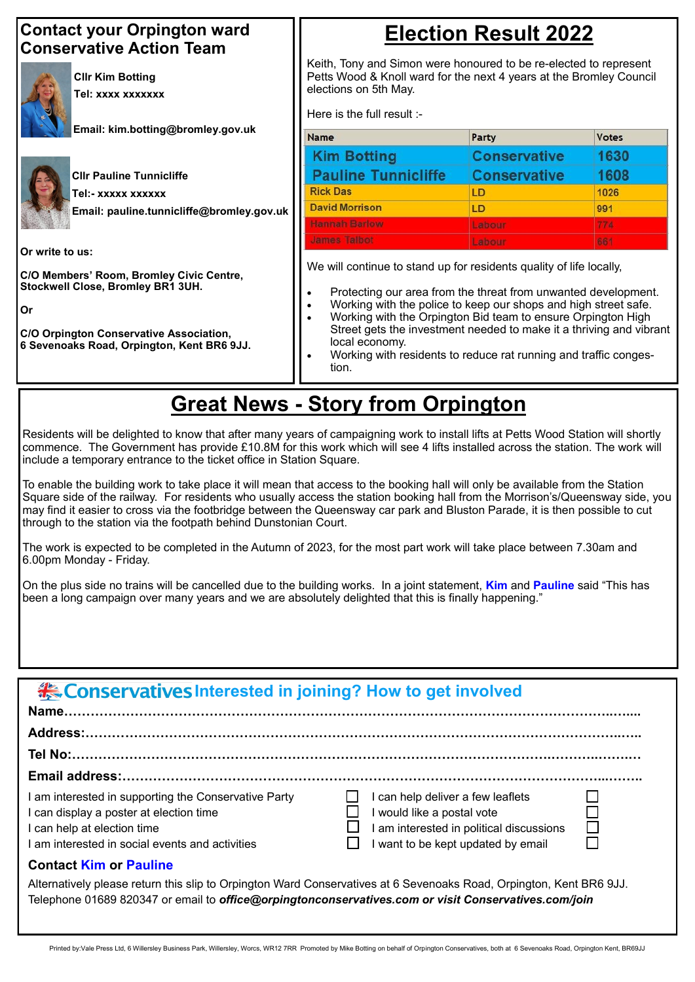| <b>Example 12 Conservatives Interested in joining? How to get involved</b> |
|----------------------------------------------------------------------------|
|                                                                            |
|                                                                            |

| <b>Contact your Orpington ward</b><br><b>Conservative Action Team</b>                                                                                                                                         | <b>Election Result 2022</b><br>Keith, Tony and Simon were honoured to be re-elected to represent<br>Petts Wood & Knoll ward for the next 4 years at the Bromley Council<br>elections on 5th May.<br>Here is the full result :-                                                                                                                                                                                                                              |                     |              |
|---------------------------------------------------------------------------------------------------------------------------------------------------------------------------------------------------------------|-------------------------------------------------------------------------------------------------------------------------------------------------------------------------------------------------------------------------------------------------------------------------------------------------------------------------------------------------------------------------------------------------------------------------------------------------------------|---------------------|--------------|
| <b>CIIr Kim Botting</b><br>Tel: xxxx xxxxxxx                                                                                                                                                                  |                                                                                                                                                                                                                                                                                                                                                                                                                                                             |                     |              |
| Email: kim.botting@bromley.gov.uk                                                                                                                                                                             | Name                                                                                                                                                                                                                                                                                                                                                                                                                                                        | Party               | <b>Votes</b> |
|                                                                                                                                                                                                               | <b>Kim Botting</b>                                                                                                                                                                                                                                                                                                                                                                                                                                          | <b>Conservative</b> | 1630         |
| <b>CIIr Pauline Tunnicliffe</b>                                                                                                                                                                               | <b>Pauline Tunnicliffe</b>                                                                                                                                                                                                                                                                                                                                                                                                                                  | <b>Conservative</b> | 1608         |
| Tel:- xxxxx xxxxxx                                                                                                                                                                                            | <b>Rick Das</b>                                                                                                                                                                                                                                                                                                                                                                                                                                             | LD                  | 1026         |
| Email: pauline.tunnicliffe@bromley.gov.uk                                                                                                                                                                     | <b>David Morrison</b>                                                                                                                                                                                                                                                                                                                                                                                                                                       | <b>LD</b>           | 991          |
|                                                                                                                                                                                                               | <b>Hannah Barlow</b>                                                                                                                                                                                                                                                                                                                                                                                                                                        | Labour              | 774          |
|                                                                                                                                                                                                               | <b>James Talbot</b>                                                                                                                                                                                                                                                                                                                                                                                                                                         | Labour              | 661          |
| Or write to us:<br>C/O Members' Room, Bromley Civic Centre,<br><b>Stockwell Close, Bromley BR1 3UH.</b><br>Or<br><b>C/O Orpington Conservative Association,</b><br>6 Sevenoaks Road, Orpington, Kent BR6 9JJ. | We will continue to stand up for residents quality of life locally,<br>Protecting our area from the threat from unwanted development.<br>Working with the police to keep our shops and high street safe.<br>$\bullet$<br>Working with the Orpington Bid team to ensure Orpington High<br>Street gets the investment needed to make it a thriving and vibrant<br>local economy.<br>Working with residents to reduce rat running and traffic conges-<br>tion. |                     |              |

#### **Tel No:……………………………………………………………………………………………….………..…….…**

#### **Email address:………………………………………………………………………………………………...……..**

I am interested in supporting the Conservative Party  $\Box$  I can help deliver a few leaflets I can display a poster at election time  $\Box$  I would like a postal vote I can help at election time  $\Box$  I am interested in political discussions

I am interested in social events and activities  $\Box$  I want to be kept updated by email

On the plus side no trains will be cancelled due to the building works. In a joint statement, **Kim** and **Pauline** said "This has been a long campaign over many years and we are absolutely delighted that this is finally happening."

#### **Contact Kim or Pauline**

Alternatively please return this slip to Orpington Ward Conservatives at 6 Sevenoaks Road, Orpington, Kent BR6 9JJ. Telephone 01689 820347 or email to *office@orpingtonconservatives.com or visit Conservatives.com/join*

Printed by:Vale Press Ltd, 6 Willersley Business Park, Willersley, Worcs, WR12 7RR Promoted by Mike Botting on behalf of Orpington Conservatives, both at 6 Sevenoaks Road, Orpington Kent, BR69JJ

### **Great News - Story from Orpington**

Residents will be delighted to know that after many years of campaigning work to install lifts at Petts Wood Station will shortly commence. The Government has provide £10.8M for this work which will see 4 lifts installed across the station. The work will include a temporary entrance to the ticket office in Station Square.

To enable the building work to take place it will mean that access to the booking hall will only be available from the Station Square side of the railway. For residents who usually access the station booking hall from the Morrison's/Queensway side, you may find it easier to cross via the footbridge between the Queensway car park and Bluston Parade, it is then possible to cut through to the station via the footpath behind Dunstonian Court.

The work is expected to be completed in the Autumn of 2023, for the most part work will take place between 7.30am and 6.00pm Monday - Friday.